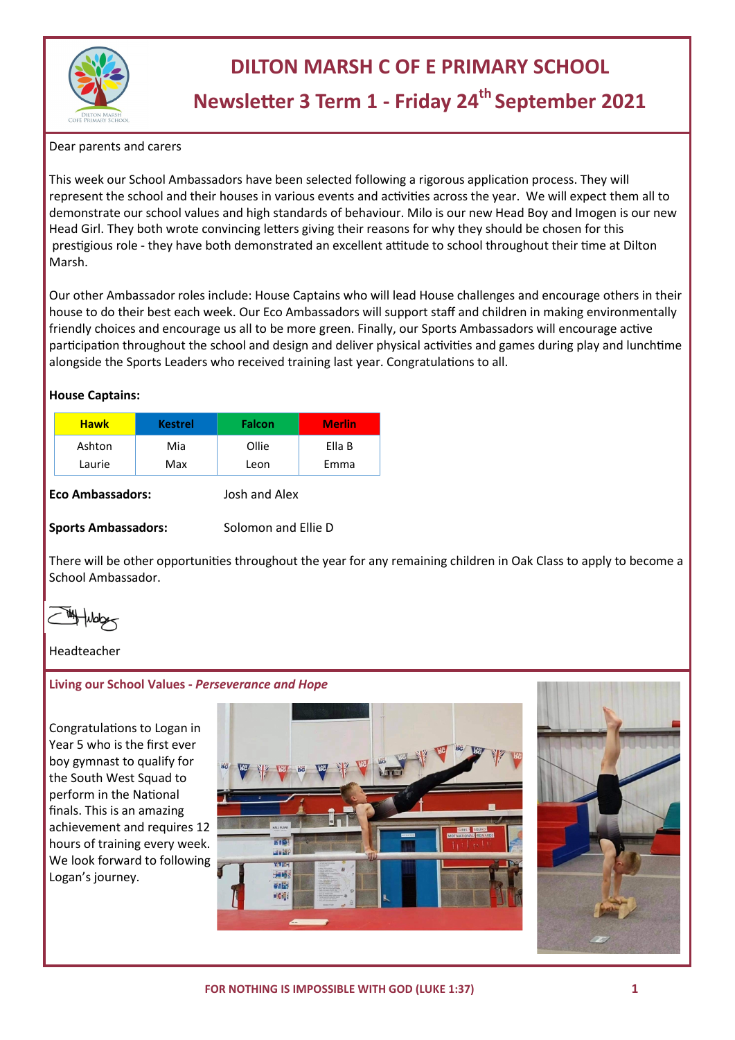

## **DILTON MARSH C OF E PRIMARY SCHOOL**

# **Newsletter 3 Term 1 - Friday 24th September 2021**

Dear parents and carers

This week our School Ambassadors have been selected following a rigorous application process. They will represent the school and their houses in various events and activities across the year. We will expect them all to demonstrate our school values and high standards of behaviour. Milo is our new Head Boy and Imogen is our new Head Girl. They both wrote convincing letters giving their reasons for why they should be chosen for this prestigious role - they have both demonstrated an excellent attitude to school throughout their time at Dilton Marsh.

Our other Ambassador roles include: House Captains who will lead House challenges and encourage others in their house to do their best each week. Our Eco Ambassadors will support staff and children in making environmentally friendly choices and encourage us all to be more green. Finally, our Sports Ambassadors will encourage active participation throughout the school and design and deliver physical activities and games during play and lunchtime alongside the Sports Leaders who received training last year. Congratulations to all.

#### **House Captains:**

| <b>Hawk</b> | <b>Kestrel</b> | <b>Falcon</b> | <b>Merlin</b> |
|-------------|----------------|---------------|---------------|
| Ashton      | Mia            | Ollie         | Ella B        |
| Laurie      | Max            | Leon          | Emma          |

#### **Eco Ambassadors:** Josh and Alex

#### **Sports Ambassadors:** Solomon and Ellie D

There will be other opportunities throughout the year for any remaining children in Oak Class to apply to become a School Ambassador.

### Headteacher

### **Living our School Values -** *Perseverance and Hope*

Congratulations to Logan in Year 5 who is the first ever boy gymnast to qualify for the South West Squad to perform in the National finals. This is an amazing achievement and requires 12 hours of training every week. We look forward to following Logan's journey.